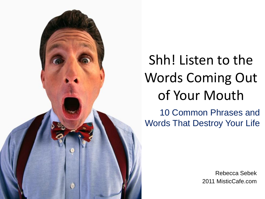

# Shh! Listen to the Words Coming Out of Your Mouth

10 Common Phrases and Words That Destroy Your Life

> Rebecca Sebek 2011 MisticCafe.com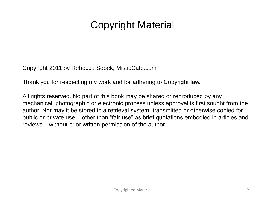# Copyright Material

Copyright 2011 by Rebecca Sebek, MisticCafe.com

Thank you for respecting my work and for adhering to Copyright law.

All rights reserved. No part of this book may be shared or reproduced by any mechanical, photographic or electronic process unless approval is first sought from the author. Nor may it be stored in a retrieval system, transmitted or otherwise copied for public or private use – other than "fair use" as brief quotations embodied in articles and reviews – without prior written permission of the author.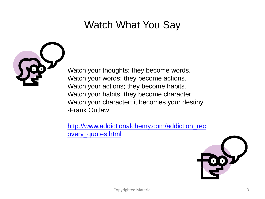# Watch What You Say



Watch your thoughts; they become words. Watch your words; they become actions. Watch your actions; they become habits. Watch your habits; they become character. Watch your character; it becomes your destiny. -Frank Outlaw

[http://www.addictionalchemy.com/addiction\\_rec](http://www.addictionalchemy.com/addiction_recovery_quotes.html) [overy\\_quotes.html](http://www.addictionalchemy.com/addiction_recovery_quotes.html)

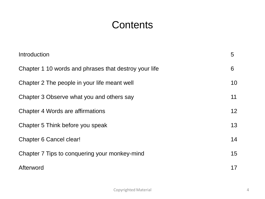### **Contents**

| Introduction                                          | 5  |
|-------------------------------------------------------|----|
| Chapter 1 10 words and phrases that destroy your life | 6  |
| Chapter 2 The people in your life meant well          | 10 |
| Chapter 3 Observe what you and others say             | 11 |
| <b>Chapter 4 Words are affirmations</b>               | 12 |
| Chapter 5 Think before you speak                      | 13 |
| Chapter 6 Cancel clear!                               | 14 |
| Chapter 7 Tips to conquering your monkey-mind         | 15 |
| Afterword                                             | 17 |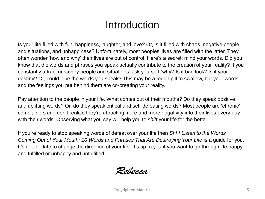### Introduction

Is your life filled with fun, happiness, laughter, and love? Or, is it filled with chaos, negative people and situations, and unhappiness? Unfortunately, most peoples" lives are filled with the latter. They often wonder "how and why" their lives are out of control. Here"s a secret: mind your words. Did you know that the words and phrases you speak actually contribute to the creation of your reality? If you constantly attract unsavory people and situations, ask yourself "why? Is it bad luck? Is it your destiny? Or, could it be the words you speak? This may be a tough pill to swallow, but your words and the feelings you put behind them are co-creating your reality.

Pay attention to the people in your life. What comes out of their mouths? Do they speak positive and uplifting words? Or, do they speak critical and self-defeating words? Most people are "chronic" complainers and don"t realize they"re attracting more and more negativity into their lives every day with their words. Observing what you say will help you to *shift* your life for the better.

If you"re ready to stop speaking words of defeat over your life then *Shh! Listen to the Words Coming Out of Your Mouth: 10 Words and Phrases That Are Destroying Your Life is a guide for you.* It's not too late to change the direction of your life. It's up to you if you want to go through life happy and fulfilled or unhappy and unfulfilled.

Rebecca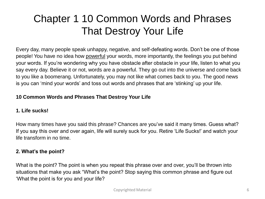# Chapter 1 10 Common Words and Phrases That Destroy Your Life

Every day, many people speak unhappy, negative, and self-defeating words. Don"t be one of those people! You have no idea how powerful your words, more importantly, the feelings you put behind your words. If you"re wondering why you have obstacle after obstacle in your life, listen to what you say every day. Believe it or not, words are a powerful. They go out into the universe and come back to you like a boomerang. Unfortunately, you may not like what comes back to you. The good news is you can 'mind your words' and toss out words and phrases that are 'stinking' up your life.

#### **10 Common Words and Phrases That Destroy Your Life**

#### **1. Life sucks!**

How many times have you said this phrase? Chances are you"ve said it many times. Guess what? If you say this over and over again, life will surely suck for you. Retire "Life Sucks!" and watch your life transform in no time.

#### **2. What's the point?**

What is the point? The point is when you repeat this phrase over and over, you'll be thrown into situations that make you ask "What"s the point? Stop saying this common phrase and figure out "What the point is for you and your life?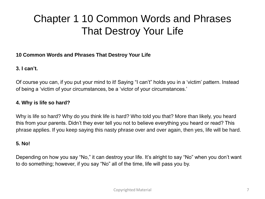# Chapter 1 10 Common Words and Phrases That Destroy Your Life

#### **10 Common Words and Phrases That Destroy Your Life**

#### **3. I can't.**

Of course you can, if you put your mind to it! Saying "I can"t" holds you in a "victim" pattern. Instead of being a "victim of your circumstances, be a "victor of your circumstances."

#### **4. Why is life so hard?**

Why is life so hard? Why do you think life is hard? Who told you that? More than likely, you heard this from your parents. Didn"t they ever tell you not to believe everything you heard or read? This phrase applies. If you keep saying this nasty phrase over and over again, then yes, life will be hard.

#### **5. No!**

Depending on how you say "No," it can destroy your life. It's alright to say "No" when you don't want to do something; however, if you say "No" all of the time, life will pass you by.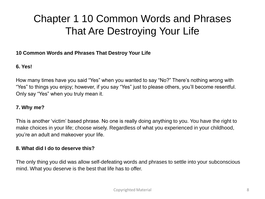# Chapter 1 10 Common Words and Phrases That Are Destroying Your Life

#### **10 Common Words and Phrases That Destroy Your Life**

#### **6. Yes!**

How many times have you said "Yes" when you wanted to say "No?" There"s nothing wrong with "Yes" to things you enjoy; however, if you say "Yes" just to please others, you"ll become resentful. Only say "Yes" when you truly mean it.

#### **7. Why me?**

This is another "victim" based phrase. No one is really doing anything to you. You have the right to make choices in your life; choose wisely. Regardless of what you experienced in your childhood, you"re an adult and makeover your life.

#### **8. What did I do to deserve this?**

The only thing you did was allow self-defeating words and phrases to settle into your subconscious mind. What you deserve is the best that life has to offer.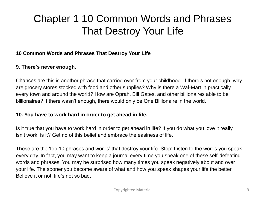# Chapter 1 10 Common Words and Phrases That Destroy Your Life

#### **10 Common Words and Phrases That Destroy Your Life**

#### **9. There's never enough.**

Chances are this is another phrase that carried over from your childhood. If there"s not enough, why are grocery stores stocked with food and other supplies? Why is there a Wal-Mart in practically every town and around the world? How are Oprah, Bill Gates, and other billionaires able to be billionaires? If there wasn"t enough, there would only be One Billionaire in the world.

#### **10. You have to work hard in order to get ahead in life.**

Is it true that you have to work hard in order to get ahead in life? If you do what you love it really isn"t work, is it? Get rid of this belief and embrace the easiness of life.

These are the "top 10 phrases and words" that destroy your life. Stop! Listen to the words you speak every day. In fact, you may want to keep a journal every time you speak one of these self-defeating words and phrases. You may be surprised how many times you speak negatively about and over your life. The sooner you become aware of what and how you speak shapes your life the better. Believe it or not, life's not so bad.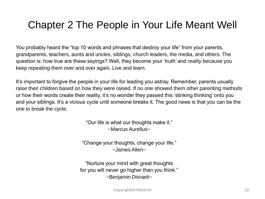# Chapter 2 The People in Your Life Meant Well

You probably heard the "top 10 words and phrases that destroy your life" from your parents, grandparents, teachers, aunts and uncles, siblings, church leaders, the media, and others. The question is: how true are these sayings? Well, they become your "truth" and *reality* because you keep repeating them over and over again. Live and learn.

It"s important to forgive the people in your life for leading you astray. Remember, parents usually raise their children based on how they were raised. If no one showed them other parenting methods or how their words create their reality, it"s no wonder they passed this "stinking thinking" onto you and your siblings. It's a vicious cycle until someone breaks it. The good news is that you can be the one to break the cycle.

> "Our life is what our thoughts make it." ~Marcus Aurelius~

"Change your thoughts, change your life." ~James Allen~

"Nurture your mind with great thoughts for you will never go higher than you think." ~Benjamin Disraeli~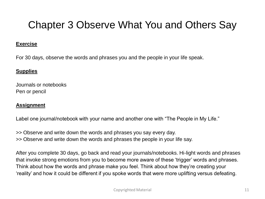# Chapter 3 Observe What You and Others Say

#### **Exercise**

For 30 days, observe the words and phrases you and the people in your life speak.

#### **Supplies**

Journals or notebooks Pen or pencil

#### **Assignment**

Label one journal/notebook with your name and another one with "The People in My Life."

>> Observe and write down the words and phrases you say every day. >> Observe and write down the words and phrases the people in your life say.

After you complete 30 days, go back and read your journals/notebooks. Hi-light words and phrases that invoke strong emotions from you to become more aware of these "trigger" words and phrases. Think about how the words and phrase make you feel. Think about how they"re creating your "reality" and how it could be different if you spoke words that were more uplifting versus defeating.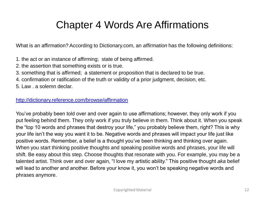### Chapter 4 Words Are Affirmations

What is an affirmation? According to Dictionary.com, an *affirmation* has the following definitions:

- 1. the act or an instance of affirming; state of being affirmed.
- 2. the assertion that something exists or is true.
- 3. something that is affirmed; a statement or proposition that is declared to be true.
- 4. confirmation or ratification of the truth or validity of a prior judgment, decision, etc.
- 5. Law . a solemn declar.

#### <http://dictionary.reference.com/browse/affirmation>

You"ve probably been told over and over again to use affirmations; however, they only work if you put feeling behind them. They only work if you truly believe in them. Think about it. When you speak the "top 10 words and phrases that destroy your life," you probably believe them, right? This is why your life isn"t the way you want it to be. Negative words and phrases will impact your life just like positive words. Remember, a belief is a thought you"ve been thinking and thinking over again. When you start thinking positive thoughts and speaking positive words and phrases, your life will shift. Be easy about this step. Choose thoughts that resonate with you. For example, you may be a talented artist. Think over and over again, "I love my artistic ability." This positive thought *aka* belief will lead to another and another. Before your know it, you won"t be speaking negative words and phrases anymore.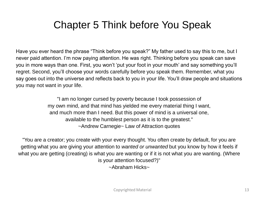# Chapter 5 Think before You Speak

Have you ever heard the phrase "Think before you speak?" My father used to say this to me, but I never paid attention. I'm now paying attention. He was right. Thinking before you speak can save you in more ways than one. First, you won"t "put your foot in your mouth" and say something you"ll regret. Second, you"ll choose your words carefully before you speak them. Remember, what you say goes out into the universe and reflects back to you in your life. You"ll draw people and situations you may not want in your life.

> "I am no longer cursed by poverty because I took possession of my own mind, and that mind has yielded me every material thing I want, and much more than I need. But this power of mind is a universal one, available to the humblest person as it is to the greatest." ~Andrew Carnegie~ Law of Attraction quotes

"You are a creator; you create with your every thought. You often create by default, for you are getting what you are giving your attention to *wanted or unwanted* but you know by how it feels if what you are getting (creating) is what you are wanting or if it is not what you are wanting. (Where is your attention focused?)" ~Abraham Hicks~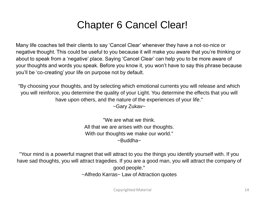# Chapter 6 Cancel Clear!

Many life coaches tell their clients to say "Cancel Clear" whenever they have a not-so-nice or negative thought. This could be useful to you because it will make you aware that you"re thinking or about to speak from a "negative" place. Saying "Cancel Clear" can help you to be more aware of your thoughts and words you speak. Before you know it, you won"t have to say this phrase because you"ll be "co-creating" your life on purpose not by default.

"By choosing your thoughts, and by selecting which emotional currents you will release and which you will reinforce, you determine the quality of your Light. You determine the effects that you will have upon others, and the nature of the experiences of your life."

~Gary Zukav~

"We are what we think. All that we are arises with our thoughts. With our thoughts we make our world."  $\sim$ Buddha $\sim$ 

"Your mind is a powerful magnet that will attract to you the things you identify yourself with. If you have sad thoughts, you will attract tragedies. If you are a good man, you will attract the company of good people." ~Alfredo Karras~ Law of Attraction quotes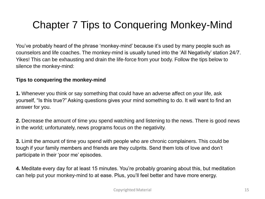# Chapter 7 Tips to Conquering Monkey-Mind

You"ve probably heard of the phrase "monkey-mind" because it"s used by many people such as counselors and life coaches. The monkey-mind is usually tuned into the "All Negativity" station 24/7. Yikes! This can be exhausting and drain the life-force from your body. Follow the tips below to silence the monkey-mind:

#### **Tips to conquering the monkey-mind**

**1.** Whenever you think or say something that could have an adverse affect on your life, ask yourself, "Is this true?" Asking questions gives your mind something to do. It will want to find an answer for you.

**2.** Decrease the amount of time you spend watching and listening to the news. There is good news in the world; unfortunately, news programs focus on the negativity.

**3.** Limit the amount of time you spend with people who are chronic complainers. This could be tough if your family members and friends are they culprits. Send them lots of love and don"t participate in their "poor me" episodes.

**4.** Meditate every day for at least 15 minutes. You"re probably groaning about this, but meditation can help put your monkey-mind to at ease. Plus, you"ll feel better and have more energy.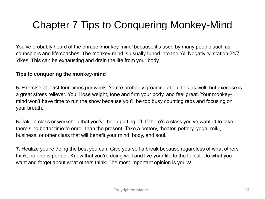# Chapter 7 Tips to Conquering Monkey-Mind

You"ve probably heard of the phrase "monkey-mind" because it"s used by many people such as counselors and life coaches. The monkey-mind is usually tuned into the "All Negativity" station 24/7. Yikes! This can be exhausting and drain the life from your body.

#### **Tips to conquering the monkey-mind**

**5.** Exercise at least four-times per week. You"re probably groaning about this as well, but exercise is a great stress reliever. You"ll lose weight, tone and firm your body, and feel great. Your monkeymind won"t have time to run the show because you"ll be too busy counting reps and focusing on your breath.

**6.** Take a class or workshop that you've been putting off. If there's a class you've wanted to take, there"s no better time to enroll than the present. Take a pottery, theater, pottery, yoga, reiki, business, or other class that will benefit your mind, body, and soul.

**7.** Realize you"re doing the best you can. Give yourself a break because regardless of what others think, no one is perfect. Know that you"re doing well and live your life to the fullest. Do what you want and forget about what others think. The most important opinion is yours!